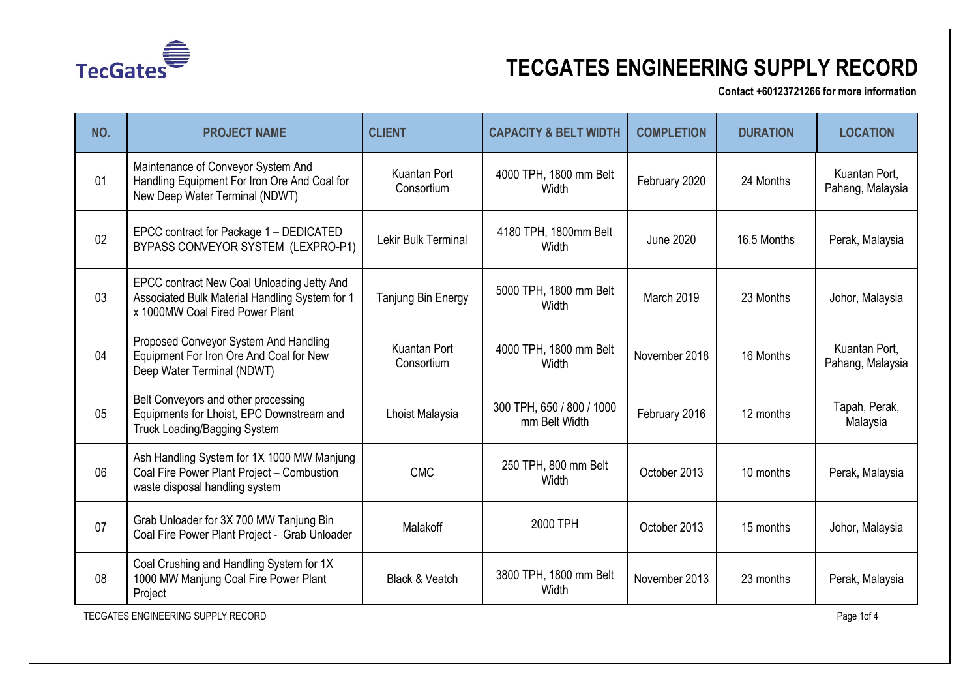

**Contact +60123721266 for more information**

| NO. | <b>PROJECT NAME</b>                                                                                                             | <b>CLIENT</b>              | <b>CAPACITY &amp; BELT WIDTH</b>           | <b>COMPLETION</b> | <b>DURATION</b> | <b>LOCATION</b>                   |
|-----|---------------------------------------------------------------------------------------------------------------------------------|----------------------------|--------------------------------------------|-------------------|-----------------|-----------------------------------|
| 01  | Maintenance of Conveyor System And<br>Handling Equipment For Iron Ore And Coal for<br>New Deep Water Terminal (NDWT)            | Kuantan Port<br>Consortium | 4000 TPH, 1800 mm Belt<br>Width            | February 2020     | 24 Months       | Kuantan Port,<br>Pahang, Malaysia |
| 02  | EPCC contract for Package 1 - DEDICATED<br>BYPASS CONVEYOR SYSTEM (LEXPRO-P1)                                                   | Lekir Bulk Terminal        | 4180 TPH, 1800mm Belt<br>Width             | <b>June 2020</b>  | 16.5 Months     | Perak, Malaysia                   |
| 03  | EPCC contract New Coal Unloading Jetty And<br>Associated Bulk Material Handling System for 1<br>x 1000MW Coal Fired Power Plant | Tanjung Bin Energy         | 5000 TPH, 1800 mm Belt<br>Width            | March 2019        | 23 Months       | Johor, Malaysia                   |
| 04  | Proposed Conveyor System And Handling<br>Equipment For Iron Ore And Coal for New<br>Deep Water Terminal (NDWT)                  | Kuantan Port<br>Consortium | 4000 TPH, 1800 mm Belt<br>Width            | November 2018     | 16 Months       | Kuantan Port,<br>Pahang, Malaysia |
| 05  | Belt Conveyors and other processing<br>Equipments for Lhoist, EPC Downstream and<br><b>Truck Loading/Bagging System</b>         | Lhoist Malaysia            | 300 TPH, 650 / 800 / 1000<br>mm Belt Width | February 2016     | 12 months       | Tapah, Perak,<br>Malaysia         |
| 06  | Ash Handling System for 1X 1000 MW Manjung<br>Coal Fire Power Plant Project - Combustion<br>waste disposal handling system      | <b>CMC</b>                 | 250 TPH, 800 mm Belt<br>Width              | October 2013      | 10 months       | Perak, Malaysia                   |
| 07  | Grab Unloader for 3X 700 MW Tanjung Bin<br>Coal Fire Power Plant Project - Grab Unloader                                        | Malakoff                   | 2000 TPH                                   | October 2013      | 15 months       | Johor, Malaysia                   |
| 08  | Coal Crushing and Handling System for 1X<br>1000 MW Manjung Coal Fire Power Plant<br>Project                                    | Black & Veatch             | 3800 TPH, 1800 mm Belt<br>Width            | November 2013     | 23 months       | Perak, Malaysia                   |

TECGATES ENGINEERING SUPPLY RECORD **Page 1of 4**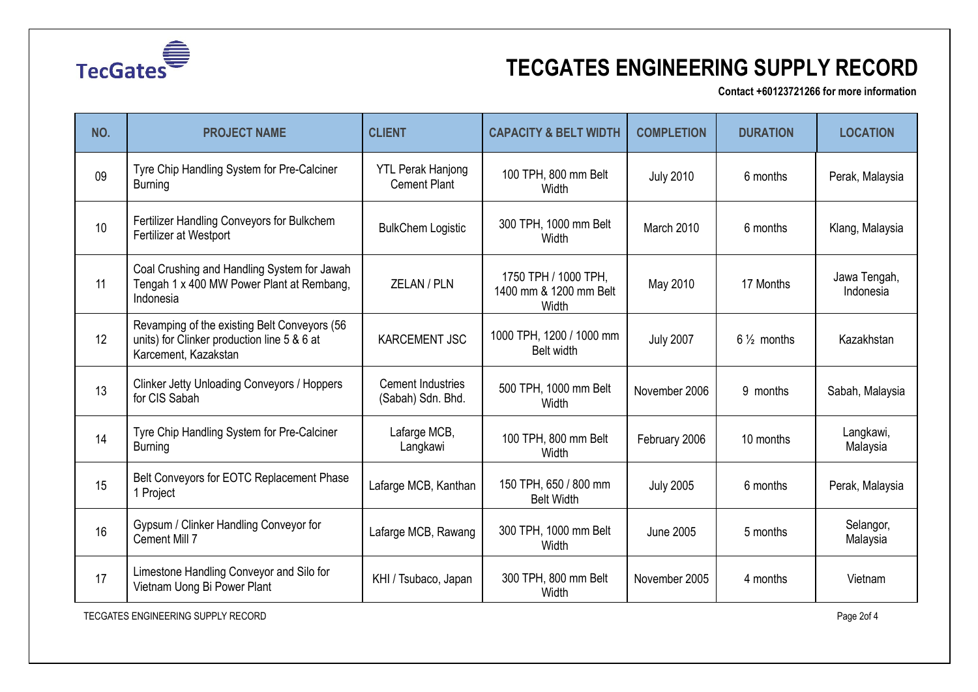

**Contact +60123721266 for more information**

| NO. | <b>PROJECT NAME</b>                                                                                                 | <b>CLIENT</b>                                   | <b>CAPACITY &amp; BELT WIDTH</b>                        | <b>COMPLETION</b> | <b>DURATION</b>       | <b>LOCATION</b>           |
|-----|---------------------------------------------------------------------------------------------------------------------|-------------------------------------------------|---------------------------------------------------------|-------------------|-----------------------|---------------------------|
| 09  | Tyre Chip Handling System for Pre-Calciner<br><b>Burning</b>                                                        | <b>YTL Perak Hanjong</b><br><b>Cement Plant</b> | 100 TPH, 800 mm Belt<br>Width                           | <b>July 2010</b>  | 6 months              | Perak, Malaysia           |
| 10  | Fertilizer Handling Conveyors for Bulkchem<br>Fertilizer at Westport                                                | <b>BulkChem Logistic</b>                        | 300 TPH, 1000 mm Belt<br>Width                          | March 2010        | 6 months              | Klang, Malaysia           |
| 11  | Coal Crushing and Handling System for Jawah<br>Tengah 1 x 400 MW Power Plant at Rembang,<br>Indonesia               | ZELAN / PLN                                     | 1750 TPH / 1000 TPH,<br>1400 mm & 1200 mm Belt<br>Width | May 2010          | 17 Months             | Jawa Tengah,<br>Indonesia |
| 12  | Revamping of the existing Belt Conveyors (56<br>units) for Clinker production line 5 & 6 at<br>Karcement, Kazakstan | <b>KARCEMENT JSC</b>                            | 1000 TPH, 1200 / 1000 mm<br>Belt width                  | <b>July 2007</b>  | $6\frac{1}{2}$ months | Kazakhstan                |
| 13  | Clinker Jetty Unloading Conveyors / Hoppers<br>for CIS Sabah                                                        | <b>Cement Industries</b><br>(Sabah) Sdn. Bhd.   | 500 TPH, 1000 mm Belt<br>Width                          | November 2006     | 9 months              | Sabah, Malaysia           |
| 14  | Tyre Chip Handling System for Pre-Calciner<br><b>Burning</b>                                                        | Lafarge MCB,<br>Langkawi                        | 100 TPH, 800 mm Belt<br>Width                           | February 2006     | 10 months             | Langkawi,<br>Malaysia     |
| 15  | Belt Conveyors for EOTC Replacement Phase<br>1 Project                                                              | Lafarge MCB, Kanthan                            | 150 TPH, 650 / 800 mm<br><b>Belt Width</b>              | <b>July 2005</b>  | 6 months              | Perak, Malaysia           |
| 16  | Gypsum / Clinker Handling Conveyor for<br>Cement Mill 7                                                             | Lafarge MCB, Rawang                             | 300 TPH, 1000 mm Belt<br>Width                          | <b>June 2005</b>  | 5 months              | Selangor,<br>Malaysia     |
| 17  | Limestone Handling Conveyor and Silo for<br>Vietnam Uong Bi Power Plant                                             | KHI / Tsubaco, Japan                            | 300 TPH, 800 mm Belt<br>Width                           | November 2005     | 4 months              | Vietnam                   |

TECGATES ENGINEERING SUPPLY RECORD Page 2of 4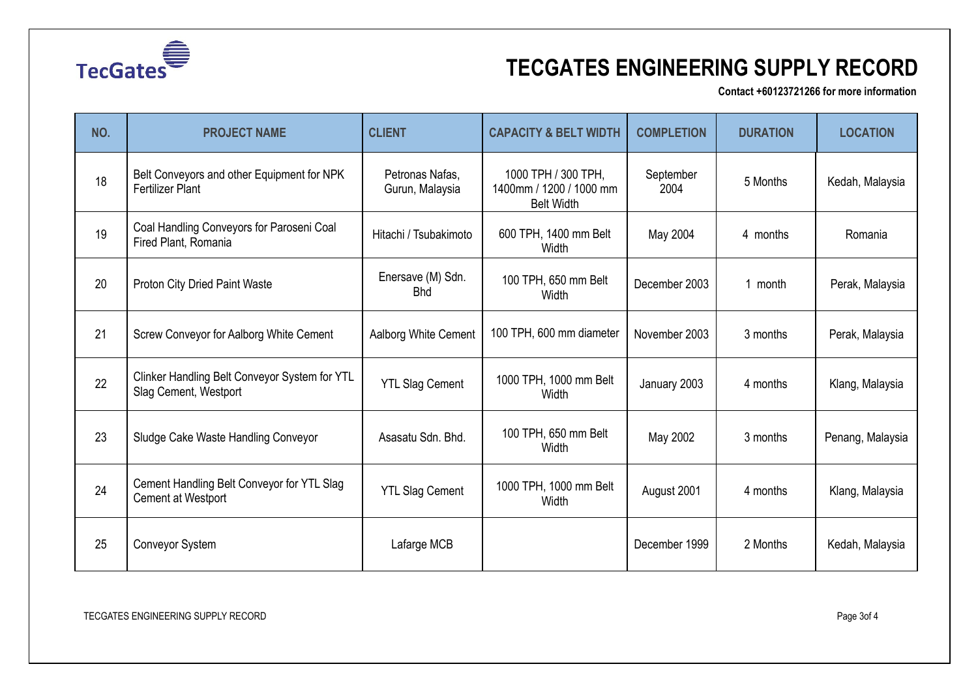

**Contact +60123721266 for more information**

| NO. | <b>PROJECT NAME</b>                                                     | <b>CLIENT</b>                      | <b>CAPACITY &amp; BELT WIDTH</b>                                    | <b>COMPLETION</b> | <b>DURATION</b> | <b>LOCATION</b>  |
|-----|-------------------------------------------------------------------------|------------------------------------|---------------------------------------------------------------------|-------------------|-----------------|------------------|
| 18  | Belt Conveyors and other Equipment for NPK<br><b>Fertilizer Plant</b>   | Petronas Nafas,<br>Gurun, Malaysia | 1000 TPH / 300 TPH,<br>1400mm / 1200 / 1000 mm<br><b>Belt Width</b> | September<br>2004 | 5 Months        | Kedah, Malaysia  |
| 19  | Coal Handling Conveyors for Paroseni Coal<br>Fired Plant, Romania       | Hitachi / Tsubakimoto              | 600 TPH, 1400 mm Belt<br>Width                                      | May 2004          | 4 months        | Romania          |
| 20  | <b>Proton City Dried Paint Waste</b>                                    | Enersave (M) Sdn.<br><b>Bhd</b>    | 100 TPH, 650 mm Belt<br>Width                                       | December 2003     | 1 month         | Perak, Malaysia  |
| 21  | Screw Conveyor for Aalborg White Cement                                 | Aalborg White Cement               | 100 TPH, 600 mm diameter                                            | November 2003     | 3 months        | Perak, Malaysia  |
| 22  | Clinker Handling Belt Conveyor System for YTL<br>Slag Cement, Westport  | <b>YTL Slag Cement</b>             | 1000 TPH, 1000 mm Belt<br>Width                                     | January 2003      | 4 months        | Klang, Malaysia  |
| 23  | Sludge Cake Waste Handling Conveyor                                     | Asasatu Sdn. Bhd.                  | 100 TPH, 650 mm Belt<br>Width                                       | May 2002          | 3 months        | Penang, Malaysia |
| 24  | Cement Handling Belt Conveyor for YTL Slag<br><b>Cement at Westport</b> | <b>YTL Slag Cement</b>             | 1000 TPH, 1000 mm Belt<br>Width                                     | August 2001       | 4 months        | Klang, Malaysia  |
| 25  | Conveyor System                                                         | Lafarge MCB                        |                                                                     | December 1999     | 2 Months        | Kedah, Malaysia  |